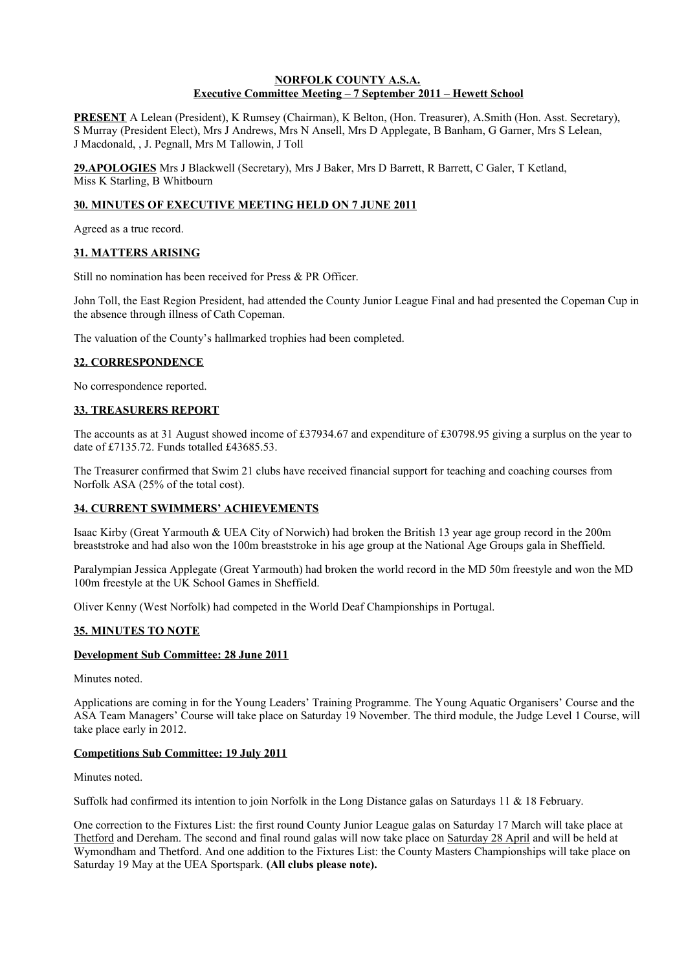### **NORFOLK COUNTY A.S.A. Executive Committee Meeting – 7 September 2011 – Hewett School**

**PRESENT** A Lelean (President), K Rumsey (Chairman), K Belton, (Hon. Treasurer), A.Smith (Hon. Asst. Secretary), S Murray (President Elect), Mrs J Andrews, Mrs N Ansell, Mrs D Applegate, B Banham, G Garner, Mrs S Lelean, J Macdonald, , J. Pegnall, Mrs M Tallowin, J Toll

**29.APOLOGIES** Mrs J Blackwell (Secretary), Mrs J Baker, Mrs D Barrett, R Barrett, C Galer, T Ketland, Miss K Starling, B Whitbourn

# **30. MINUTES OF EXECUTIVE MEETING HELD ON 7 JUNE 2011**

Agreed as a true record.

### **31. MATTERS ARISING**

Still no nomination has been received for Press & PR Officer.

John Toll, the East Region President, had attended the County Junior League Final and had presented the Copeman Cup in the absence through illness of Cath Copeman.

The valuation of the County's hallmarked trophies had been completed.

### **32. CORRESPONDENCE**

No correspondence reported.

### **33. TREASURERS REPORT**

The accounts as at 31 August showed income of £37934.67 and expenditure of £30798.95 giving a surplus on the year to date of £7135.72. Funds totalled £43685.53.

The Treasurer confirmed that Swim 21 clubs have received financial support for teaching and coaching courses from Norfolk ASA (25% of the total cost).

### **34. CURRENT SWIMMERS' ACHIEVEMENTS**

Isaac Kirby (Great Yarmouth & UEA City of Norwich) had broken the British 13 year age group record in the 200m breaststroke and had also won the 100m breaststroke in his age group at the National Age Groups gala in Sheffield.

Paralympian Jessica Applegate (Great Yarmouth) had broken the world record in the MD 50m freestyle and won the MD 100m freestyle at the UK School Games in Sheffield.

Oliver Kenny (West Norfolk) had competed in the World Deaf Championships in Portugal.

### **35. MINUTES TO NOTE**

#### **Development Sub Committee: 28 June 2011**

Minutes noted.

Applications are coming in for the Young Leaders' Training Programme. The Young Aquatic Organisers' Course and the ASA Team Managers' Course will take place on Saturday 19 November. The third module, the Judge Level 1 Course, will take place early in 2012.

#### **Competitions Sub Committee: 19 July 2011**

Minutes noted.

Suffolk had confirmed its intention to join Norfolk in the Long Distance galas on Saturdays 11 & 18 February.

One correction to the Fixtures List: the first round County Junior League galas on Saturday 17 March will take place at Thetford and Dereham. The second and final round galas will now take place on Saturday 28 April and will be held at Wymondham and Thetford. And one addition to the Fixtures List: the County Masters Championships will take place on Saturday 19 May at the UEA Sportspark. **(All clubs please note).**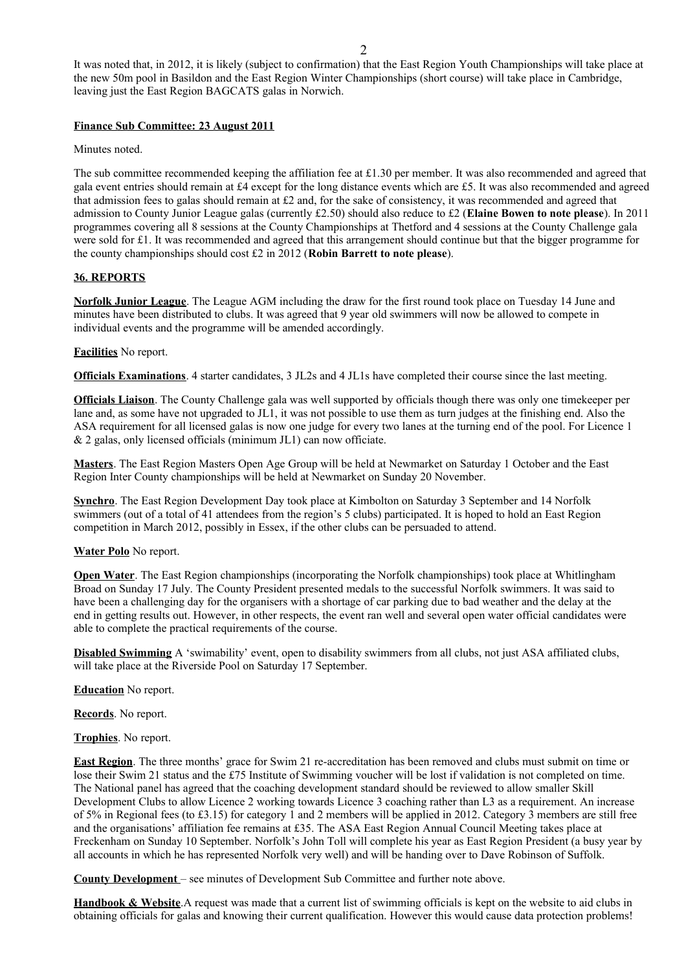It was noted that, in 2012, it is likely (subject to confirmation) that the East Region Youth Championships will take place at the new 50m pool in Basildon and the East Region Winter Championships (short course) will take place in Cambridge, leaving just the East Region BAGCATS galas in Norwich.

### **Finance Sub Committee: 23 August 2011**

Minutes noted.

The sub committee recommended keeping the affiliation fee at £1.30 per member. It was also recommended and agreed that gala event entries should remain at £4 except for the long distance events which are £5. It was also recommended and agreed that admission fees to galas should remain at £2 and, for the sake of consistency, it was recommended and agreed that admission to County Junior League galas (currently £2.50) should also reduce to £2 (**Elaine Bowen to note please**). In 2011 programmes covering all 8 sessions at the County Championships at Thetford and 4 sessions at the County Challenge gala were sold for £1. It was recommended and agreed that this arrangement should continue but that the bigger programme for the county championships should cost £2 in 2012 (**Robin Barrett to note please**).

### **36. REPORTS**

**Norfolk Junior League**. The League AGM including the draw for the first round took place on Tuesday 14 June and minutes have been distributed to clubs. It was agreed that 9 year old swimmers will now be allowed to compete in individual events and the programme will be amended accordingly.

### **Facilities** No report.

**Officials Examinations**. 4 starter candidates, 3 JL2s and 4 JL1s have completed their course since the last meeting.

**Officials Liaison**. The County Challenge gala was well supported by officials though there was only one timekeeper per lane and, as some have not upgraded to JL1, it was not possible to use them as turn judges at the finishing end. Also the ASA requirement for all licensed galas is now one judge for every two lanes at the turning end of the pool. For Licence 1 & 2 galas, only licensed officials (minimum JL1) can now officiate.

**Masters**. The East Region Masters Open Age Group will be held at Newmarket on Saturday 1 October and the East Region Inter County championships will be held at Newmarket on Sunday 20 November.

**Synchro**. The East Region Development Day took place at Kimbolton on Saturday 3 September and 14 Norfolk swimmers (out of a total of 41 attendees from the region's 5 clubs) participated. It is hoped to hold an East Region competition in March 2012, possibly in Essex, if the other clubs can be persuaded to attend.

### **Water Polo** No report.

**Open Water**. The East Region championships (incorporating the Norfolk championships) took place at Whitlingham Broad on Sunday 17 July. The County President presented medals to the successful Norfolk swimmers. It was said to have been a challenging day for the organisers with a shortage of car parking due to bad weather and the delay at the end in getting results out. However, in other respects, the event ran well and several open water official candidates were able to complete the practical requirements of the course.

**Disabled Swimming** A 'swimability' event, open to disability swimmers from all clubs, not just ASA affiliated clubs, will take place at the Riverside Pool on Saturday 17 September.

**Education** No report.

**Records**. No report.

**Trophies**. No report.

**East Region**. The three months' grace for Swim 21 re-accreditation has been removed and clubs must submit on time or lose their Swim 21 status and the £75 Institute of Swimming voucher will be lost if validation is not completed on time. The National panel has agreed that the coaching development standard should be reviewed to allow smaller Skill Development Clubs to allow Licence 2 working towards Licence 3 coaching rather than L3 as a requirement. An increase of 5% in Regional fees (to £3.15) for category 1 and 2 members will be applied in 2012. Category 3 members are still free and the organisations' affiliation fee remains at £35. The ASA East Region Annual Council Meeting takes place at Freckenham on Sunday 10 September. Norfolk's John Toll will complete his year as East Region President (a busy year by all accounts in which he has represented Norfolk very well) and will be handing over to Dave Robinson of Suffolk.

**County Development** – see minutes of Development Sub Committee and further note above.

**Handbook & Website**.A request was made that a current list of swimming officials is kept on the website to aid clubs in obtaining officials for galas and knowing their current qualification. However this would cause data protection problems!